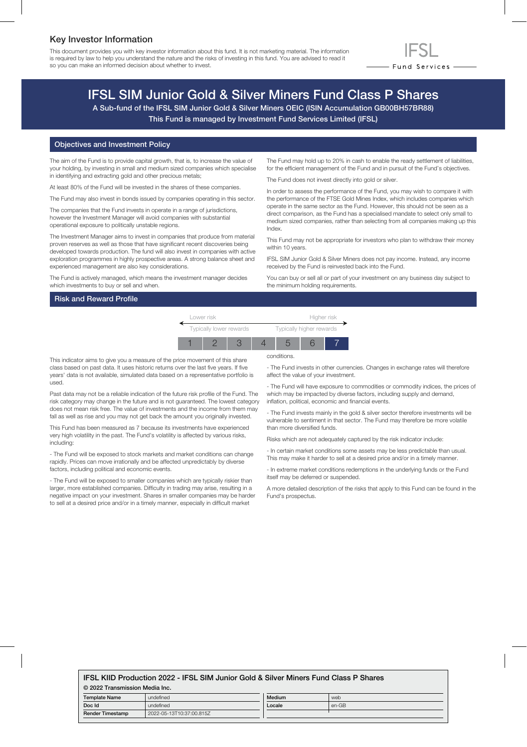### Key Investor Information

This document provides you with key investor information about this fund. It is not marketing material. The information is required by law to help you understand the nature and the risks of investing in this fund. You are advised to read it so you can make an informed decision about whether to invest.



## IFSL SIM Junior Gold & Silver Miners Fund Class P Shares

A Sub-fund of the IFSL SIM Junior Gold & Silver Miners OEIC (ISIN Accumulation GB00BH57BR88) This Fund is managed by Investment Fund Services Limited (IFSL)

#### Objectives and Investment Policy

The aim of the Fund is to provide capital growth, that is, to increase the value of your holding, by investing in small and medium sized companies which specialise in identifying and extracting gold and other precious metals;

At least 80% of the Fund will be invested in the shares of these companies.

The Fund may also invest in bonds issued by companies operating in this sector.

The companies that the Fund invests in operate in a range of jurisdictions, however the Investment Manager will avoid companies with substantial operational exposure to politically unstable regions.

The Investment Manager aims to invest in companies that produce from material proven reserves as well as those that have significant recent discoveries being developed towards production. The fund will also invest in companies with active exploration programmes in highly prospective areas. A strong balance sheet and experienced management are also key considerations.

The Fund is actively managed, which means the investment manager decides which investments to buy or sell and when.

#### Risk and Reward Profile

The Fund may hold up to 20% in cash to enable the ready settlement of liabilities, for the efficient management of the Fund and in pursuit of the Fund's objectives.

The Fund does not invest directly into gold or silver.

In order to assess the performance of the Fund, you may wish to compare it with the performance of the FTSE Gold Mines Index, which includes companies which operate in the same sector as the Fund. However, this should not be seen as a direct comparison, as the Fund has a specialised mandate to select only small to medium sized companies, rather than selecting from all companies making up this Index.

This Fund may not be appropriate for investors who plan to withdraw their money within 10 years.

IFSL SIM Junior Gold & Silver Miners does not pay income. Instead, any income received by the Fund is reinvested back into the Fund.

You can buy or sell all or part of your investment on any business day subject to the minimum holding requirements.



conditions.

This indicator aims to give you a measure of the price movement of this share class based on past data. It uses historic returns over the last five years. If five years' data is not available, simulated data based on a representative portfolio is used.

Past data may not be a reliable indication of the future risk profile of the Fund. The risk category may change in the future and is not guaranteed. The lowest category does not mean risk free. The value of investments and the income from them may fall as well as rise and you may not get back the amount you originally invested.

This Fund has been measured as 7 because its investments have experienced very high volatility in the past. The Fund's volatility is affected by various risks, including:

- The Fund will be exposed to stock markets and market conditions can change rapidly. Prices can move irrationally and be affected unpredictably by diverse factors, including political and economic events.

- The Fund will be exposed to smaller companies which are typically riskier than larger, more established companies. Difficulty in trading may arise, resulting in a negative impact on your investment. Shares in smaller companies may be harder to sell at a desired price and/or in a timely manner, especially in difficult market

- The Fund invests in other currencies. Changes in exchange rates will therefore

affect the value of your investment.

- The Fund will have exposure to commodities or commodity indices, the prices of which may be impacted by diverse factors, including supply and demand, inflation, political, economic and financial events.

- The Fund invests mainly in the gold & silver sector therefore investments will be vulnerable to sentiment in that sector. The Fund may therefore be more volatile than more diversified funds.

Risks which are not adequately captured by the risk indicator include:

- In certain market conditions some assets may be less predictable than usual. This may make it harder to sell at a desired price and/or in a timely manner.

- In extreme market conditions redemptions in the underlying funds or the Fund itself may be deferred or suspended.

A more detailed description of the risks that apply to this Fund can be found in the Fund's prospectus.